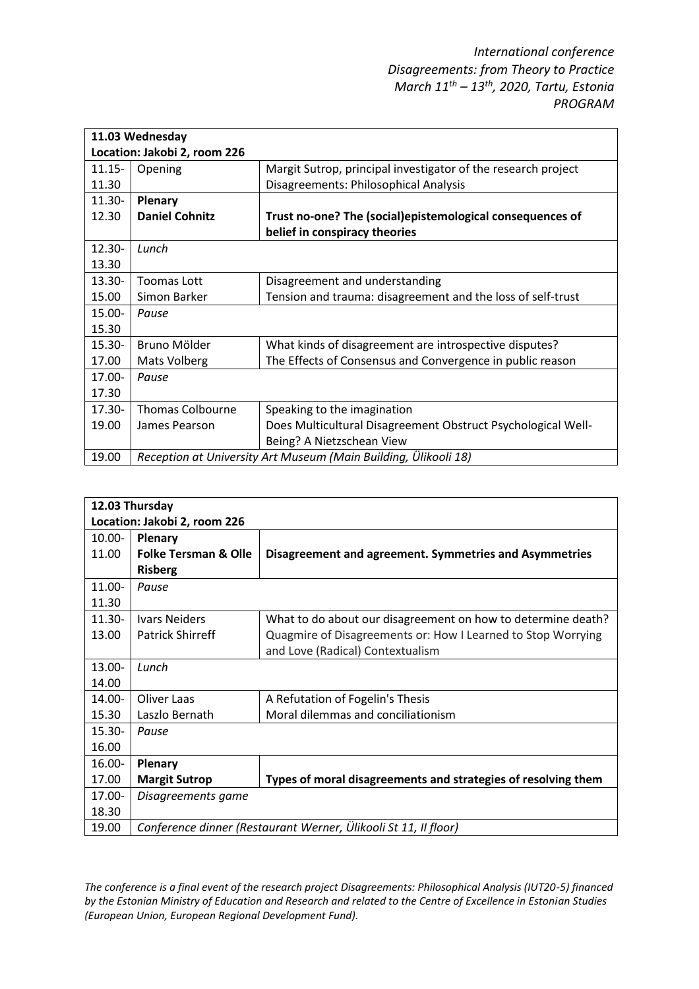| 11.03 Wednesday              |                                                                 |                                                               |  |  |  |
|------------------------------|-----------------------------------------------------------------|---------------------------------------------------------------|--|--|--|
| Location: Jakobi 2, room 226 |                                                                 |                                                               |  |  |  |
| $11.15 -$                    | Opening                                                         | Margit Sutrop, principal investigator of the research project |  |  |  |
| 11.30                        |                                                                 | Disagreements: Philosophical Analysis                         |  |  |  |
| $11.30 -$                    | Plenary                                                         |                                                               |  |  |  |
| 12.30                        | <b>Daniel Cohnitz</b>                                           | Trust no-one? The (social)epistemological consequences of     |  |  |  |
|                              |                                                                 | belief in conspiracy theories                                 |  |  |  |
| $12.30 -$                    | Lunch                                                           |                                                               |  |  |  |
| 13.30                        |                                                                 |                                                               |  |  |  |
| $13.30 -$                    | Toomas Lott                                                     | Disagreement and understanding                                |  |  |  |
| 15.00                        | Simon Barker                                                    | Tension and trauma: disagreement and the loss of self-trust   |  |  |  |
| $15.00 -$                    | Pause                                                           |                                                               |  |  |  |
| 15.30                        |                                                                 |                                                               |  |  |  |
| $15.30 -$                    | Bruno Mölder                                                    | What kinds of disagreement are introspective disputes?        |  |  |  |
| 17.00                        | Mats Volberg                                                    | The Effects of Consensus and Convergence in public reason     |  |  |  |
| $17.00 -$                    | Pause                                                           |                                                               |  |  |  |
| 17.30                        |                                                                 |                                                               |  |  |  |
| $17.30 -$                    | <b>Thomas Colbourne</b>                                         | Speaking to the imagination                                   |  |  |  |
| 19.00                        | James Pearson                                                   | Does Multicultural Disagreement Obstruct Psychological Well-  |  |  |  |
|                              |                                                                 | Being? A Nietzschean View                                     |  |  |  |
| 19.00                        | Reception at University Art Museum (Main Building, Ülikooli 18) |                                                               |  |  |  |

| 12.03 Thursday               |                                                                 |                                                               |  |  |
|------------------------------|-----------------------------------------------------------------|---------------------------------------------------------------|--|--|
| Location: Jakobi 2, room 226 |                                                                 |                                                               |  |  |
| $10.00 -$                    | Plenary                                                         |                                                               |  |  |
| 11.00                        | <b>Folke Tersman &amp; Olle</b>                                 | Disagreement and agreement. Symmetries and Asymmetries        |  |  |
|                              | <b>Risberg</b>                                                  |                                                               |  |  |
| $11.00 -$                    | Pause                                                           |                                                               |  |  |
| 11.30                        |                                                                 |                                                               |  |  |
| $11.30 -$                    | <b>Ivars Neiders</b>                                            | What to do about our disagreement on how to determine death?  |  |  |
| 13.00                        | <b>Patrick Shirreff</b>                                         | Quagmire of Disagreements or: How I Learned to Stop Worrying  |  |  |
|                              |                                                                 | and Love (Radical) Contextualism                              |  |  |
| $13.00 -$                    | Lunch                                                           |                                                               |  |  |
| 14.00                        |                                                                 |                                                               |  |  |
| $14.00 -$                    | Oliver Laas                                                     | A Refutation of Fogelin's Thesis                              |  |  |
| 15.30                        | Laszlo Bernath                                                  | Moral dilemmas and conciliationism                            |  |  |
| $15.30 -$                    | Pause                                                           |                                                               |  |  |
| 16.00                        |                                                                 |                                                               |  |  |
| 16.00-                       | Plenary                                                         |                                                               |  |  |
| 17.00                        | <b>Margit Sutrop</b>                                            | Types of moral disagreements and strategies of resolving them |  |  |
| $17.00 -$                    | Disagreements game                                              |                                                               |  |  |
| 18.30                        |                                                                 |                                                               |  |  |
| 19.00                        | Conference dinner (Restaurant Werner, Ülikooli St 11, II floor) |                                                               |  |  |

*The conference is a final event of the research project Disagreements: Philosophical Analysis (IUT20-5) financed by the Estonian Ministry of Education and Research and related to the Centre of Excellence in Estonian Studies (European Union, European Regional Development Fund).*